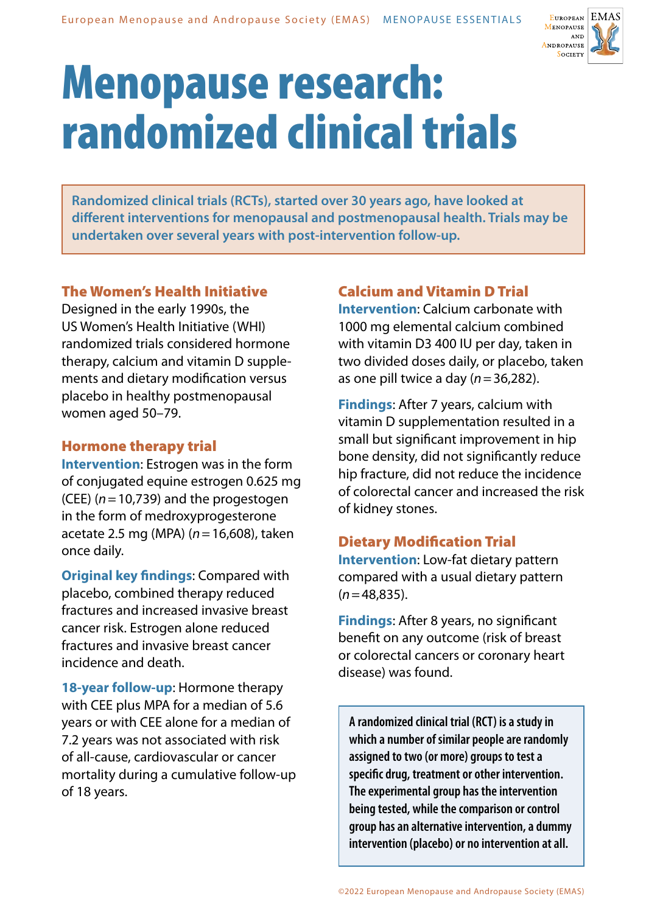

# Menopause research: randomized clinical trials

**Randomized clinical trials (RCTs), started over 30 years ago, have looked at different interventions for menopausal and postmenopausal health. Trials may be undertaken over several years with post-intervention follow-up.** 

## The Women's Health Initiative

Designed in the early 1990s, the US Women's Health Initiative (WHI) randomized trials considered hormone therapy, calcium and vitamin D supplements and dietary modification versus placebo in healthy postmenopausal women aged 50–79.

#### Hormone therapy trial

**Intervention**: Estrogen was in the form of conjugated equine estrogen 0.625 mg (CEE) (*n*=10,739) and the progestogen in the form of medroxyprogesterone acetate 2.5 mg (MPA) (*n*=16,608), taken once daily.

**Original key findings**: Compared with placebo, combined therapy reduced fractures and increased invasive breast cancer risk. Estrogen alone reduced fractures and invasive breast cancer incidence and death.

**18-year follow-up**: Hormone therapy with CEE plus MPA for a median of 5.6 years or with CEE alone for a median of 7.2 years was not associated with risk of all-cause, cardiovascular or cancer mortality during a cumulative follow-up of 18 years.

# Calcium and Vitamin D Trial

**Intervention**: Calcium carbonate with 1000 mg elemental calcium combined with vitamin D3 400 IU per day, taken in two divided doses daily, or placebo, taken as one pill twice a day (*n*=36,282).

**Findings**: After 7 years, calcium with vitamin D supplementation resulted in a small but significant improvement in hip bone density, did not significantly reduce hip fracture, did not reduce the incidence of colorectal cancer and increased the risk of kidney stones.

# Dietary Modification Trial

**Intervention**: Low-fat dietary pattern compared with a usual dietary pattern (*n*=48,835).

**Findings**: After 8 years, no significant benefit on any outcome (risk of breast or colorectal cancers or coronary heart disease) was found.

**A randomized clinical trial (RCT) is a study in which a number of similar people are randomly assigned to two (or more) groups to test a specific drug, treatment or other intervention. The experimental group has the intervention being tested, while the comparison or control group has an alternative intervention, a dummy intervention (placebo) or no intervention at all.**